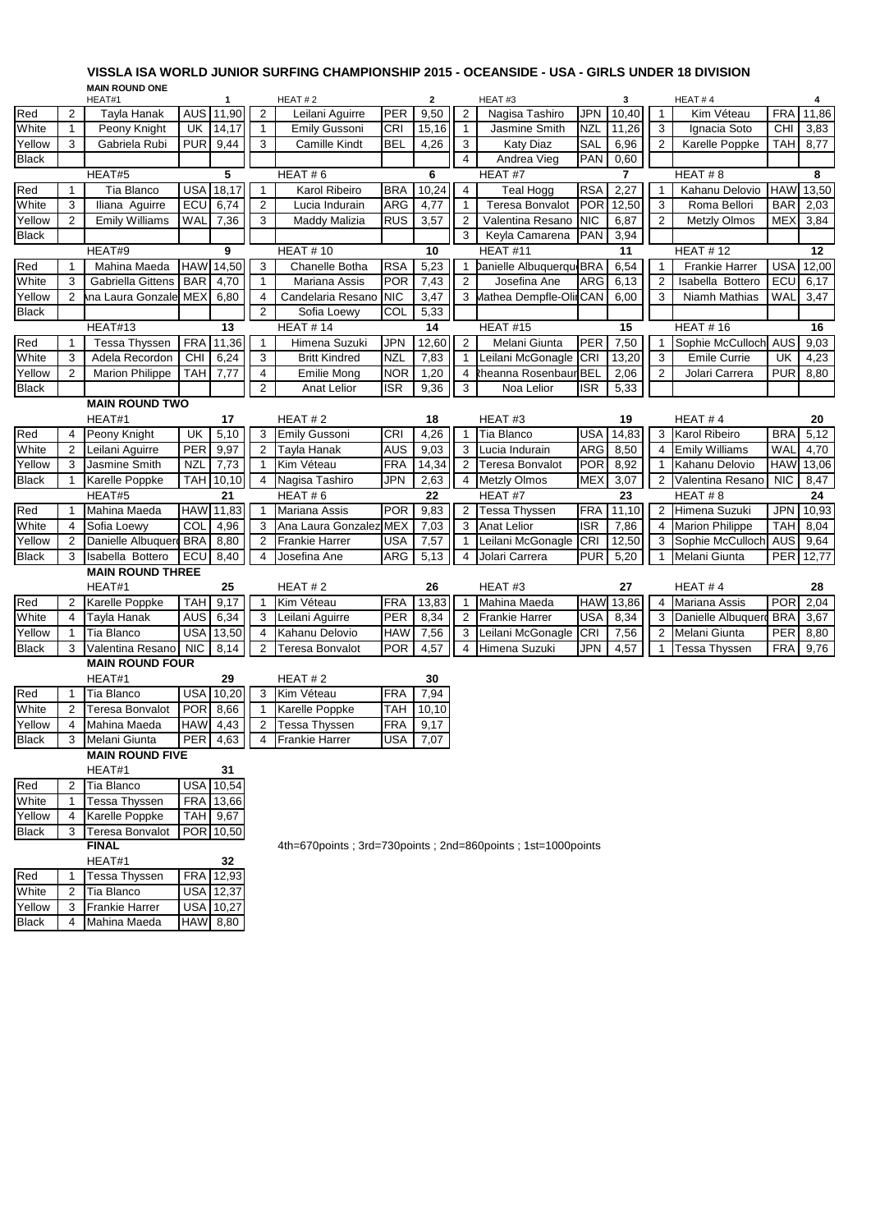## **VISSLA ISA WORLD JUNIOR SURFING CHAMPIONSHIP 2015 - OCEANSIDE - USA - GIRLS UNDER 18 DIVISION VISSLA ISA WORLD JUNIOR SURFING CHAMPIONSHIP 2015 - OCEANSIDE - USA - GIRLS UNDER 18 DIVISION MAIN ROUND ONE**

|                       |                | שווט שווטטאו וואויו<br>HEAT#1 |            | $\mathbf{1}$     |                 | HEAT#2                |            | $\mathbf{2}$ |                | HEAT#3                             |            | 3     |                 | HEAT#4                 |            |       |
|-----------------------|----------------|-------------------------------|------------|------------------|-----------------|-----------------------|------------|--------------|----------------|------------------------------------|------------|-------|-----------------|------------------------|------------|-------|
| Red                   | 2              | Tayla Hanak                   |            | AUS 11,90        | 2               | Leilani Aguirre       | <b>PER</b> | 9,50         | 2              | Nagisa Tashiro                     | <b>JPN</b> | 10,40 | $\mathbf{1}$    | Kim Véteau             | <b>FRA</b> | 11,86 |
| White                 | 1              | Peony Knight                  | UK         | 14,17            | $\mathbf 1$     | Emily Gussoni         | CRI        | 15,16        | $\mathbf{1}$   | Jasmine Smith                      | <b>NZL</b> | 11,26 | 3               | Ignacia Soto           | <b>CHI</b> | 3,83  |
| Yellow                | 3              | Gabriela Rubi                 | <b>PUR</b> | 9,44             | 3               | <b>Camille Kindt</b>  | <b>BEL</b> | 4,26         | 3              | <b>Katy Diaz</b>                   | SAL        | 6,96  | $\overline{2}$  | Karelle Poppke         | <b>TAH</b> | 8,77  |
| <b>Black</b>          |                |                               |            |                  |                 |                       |            |              | 4              | Andrea Vieg                        | PAN        | 0,60  |                 |                        |            |       |
|                       |                | HEAT#5                        |            | 5                |                 | HEAT#6                |            | 6            |                | HEAT #7<br>$\overline{\mathbf{r}}$ |            |       | HEAT#8          |                        |            | 8     |
| Red                   | $\mathbf{1}$   | Tia Blanco                    | USA        | 18,17            | $\mathbf{1}$    | Karol Ribeiro         | <b>BRA</b> | 10,24        | $\overline{4}$ | <b>Teal Hogg</b>                   | <b>RSA</b> | 2,27  | 1               | Kahanu Delovio         | <b>HAW</b> | 13,50 |
| White                 | 3              | Iliana Aguirre                | ECU        | 6,74             | 2               | Lucia Indurain        | ARG        | 4,77         | $\mathbf{1}$   | <b>Teresa Bonvalot</b>             | <b>POR</b> | 12,50 | 3               | Roma Bellori           | <b>BAR</b> | 2,03  |
| Yellow                | $\overline{2}$ | <b>Emily Williams</b>         | WAL        | 7,36             | 3               | Maddy Malizia         | <b>RUS</b> | 3,57         | $\overline{2}$ | Valentina Resano                   | <b>NIC</b> | 6,87  | $\overline{2}$  | <b>Metzly Olmos</b>    | <b>MEX</b> | 3,84  |
| <b>Black</b>          |                |                               |            |                  |                 |                       |            |              | 3              | Keyla Camarena                     | PAN        | 3,94  |                 |                        |            |       |
| 9<br>HEAT#9           |                |                               |            |                  | <b>HEAT #10</b> |                       | 10         |              | HEAT#11        |                                    | 11         |       | <b>HEAT #12</b> |                        | 12         |       |
| Red                   | $\mathbf{1}$   | Mahina Maeda                  | <b>HAW</b> | 14,50            | 3               | Chanelle Botha        | <b>RSA</b> | 5,23         | 1              | Danielle Albuquerque BRA           |            | 6,54  | $\mathbf{1}$    | <b>Frankie Harrer</b>  | <b>USA</b> | 12,00 |
| White                 | 3              | Gabriella Gittens             | <b>BAR</b> | 4,70             | $\mathbf{1}$    | Mariana Assis         | <b>POR</b> | 7,43         | $\overline{2}$ | Josefina Ane                       | ARG        | 6,13  | 2               | Isabella Bottero       | ECU        | 6,17  |
| Yellow                | 2              | na Laura Gonzale              | <b>MEX</b> | 6,80             | 4               | Candelaria Resano     | <b>NIC</b> | 3,47         |                | 3 Mathea Dempfle-Olin CAN          |            | 6,00  | 3               | Niamh Mathias          | WAL        | 3,47  |
| <b>Black</b>          |                |                               |            |                  | $\overline{c}$  | Sofia Loewy           | COL        | 5,33         |                |                                    |            |       |                 |                        |            |       |
|                       |                | HEAT#13                       |            | 13               |                 | <b>HEAT #14</b>       |            | 14           |                | <b>HEAT #15</b>                    |            | 15    |                 | <b>HEAT #16</b>        |            | 16    |
| Red                   | $\mathbf{1}$   | Tessa Thyssen                 | <b>FRA</b> | 11,36            | $\mathbf{1}$    | Himena Suzuki         | JPN        | 12,60        | $\overline{2}$ | Melani Giunta                      | PER        | 7,50  | $\mathbf{1}$    | Sophie McCulloch AUS   |            | 9,03  |
| White                 | 3              | Adela Recordon                | <b>CHI</b> | 6,24             | 3               | <b>Britt Kindred</b>  | <b>NZL</b> | 7,83         | $\mathbf{1}$   | Leilani McGonagle                  | <b>CRI</b> | 13,20 | 3               | <b>Emile Currie</b>    | UK         | 4,23  |
| Yellow                | 2              | <b>Marion Philippe</b>        | <b>TAH</b> | 7,77             | 4               | <b>Emilie Mong</b>    | <b>NOR</b> | 1,20         |                | 4 Rheanna Rosenbaur BEL            |            | 2,06  | 2               | Jolari Carrera         | <b>PUR</b> | 8,80  |
| <b>Black</b>          |                |                               |            |                  | $\overline{c}$  | Anat Lelior           | ISR        | 9,36         | 3              | Noa Lelior                         | <b>ISR</b> | 5,33  |                 |                        |            |       |
| <b>MAIN ROUND TWO</b> |                |                               |            |                  |                 |                       |            |              |                |                                    |            |       |                 |                        |            |       |
|                       |                | HEAT#1                        |            | 17               |                 | HEAT#2                |            | 18           |                | HEAT#3                             |            | 19    |                 | HEAT#4                 |            | 20    |
| Red                   | 4              | Peony Knight                  | UK         | 5,10             | 3               | <b>Emily Gussoni</b>  | <b>CRI</b> | 4,26         | $\mathbf{1}$   | Tia Blanco                         | <b>USA</b> | 14,83 | 3               | Karol Ribeiro          | <b>BRA</b> | 5,12  |
| White                 | 2              | Leilani Aguirre               | <b>PER</b> | 9,97             | 2               | Tayla Hanak           | <b>AUS</b> | 9,03         | 3              | Lucia Indurain                     | <b>ARG</b> | 8,50  | 4               | <b>Emily Williams</b>  | WAL        | 4,70  |
| Yellow                | 3              | Jasmine Smith                 | <b>NZL</b> | 7,73             | 1               | Kim Véteau            | <b>FRA</b> | 14,34        |                | 2 Teresa Bonvalot                  | <b>POR</b> | 8,92  | $\mathbf{1}$    | Kahanu Delovio         | <b>HAW</b> | 13,06 |
| <b>Black</b>          | $\mathbf{1}$   | Karelle Poppke                |            | TAH 10,10        | 4               | Nagisa Tashiro        | JPN        | 2,63         |                | 4 Metzly Olmos                     | MEX        | 3,07  | 2               | Valentina Resano       | <b>NIC</b> | 8,47  |
|                       |                | HEAT#5                        |            | 21               |                 | 22<br>HEAT#6          |            |              |                | HEAT#7                             |            | 23    |                 | HEAT#8<br>24           |            |       |
| Red                   | $\mathbf{1}$   | Mahina Maeda                  |            | HAW 11,83        | $\mathbf{1}$    | <b>Mariana Assis</b>  | <b>POR</b> | 9,83         |                | 2 Tessa Thyssen                    | <b>FRA</b> | 11,10 | 2               | Himena Suzuki          | JPN        | 10,93 |
| White                 | $\overline{4}$ | Sofia Loewy                   | COL        | 4,96             | 3               | Ana Laura Gonzalez    | <b>MEX</b> | 7,03         | 3 <sup>1</sup> | <b>Anat Lelior</b>                 | <b>ISR</b> | 7,86  | $\overline{4}$  | <b>Marion Philippe</b> | <b>TAH</b> | 8,04  |
| Yellow                | 2              | Danielle Albuquero            | <b>BRA</b> | 8,80             | 2               | <b>Frankie Harrer</b> | USA        | 7,57         | $\mathbf{1}$   | Leilani McGonagle                  | <b>CRI</b> | 12,50 | 3               | Sophie McCulloch       | <b>AUS</b> | 9,64  |
| <b>Black</b>          | 3              | Isabella Bottero              | ECU        | 8,40             | 4               | Josefina Ane          | ARG        | 5,13         | $\overline{4}$ | Jolari Carrera                     | <b>PUR</b> | 5,20  | $\mathbf{1}$    | Melani Giunta          | PER        | 12,77 |
|                       |                | <b>MAIN ROUND THREE</b>       |            |                  |                 |                       |            |              |                |                                    |            |       |                 |                        |            |       |
|                       |                | HEAT#1                        |            | 25               |                 | HEAT#2                |            | 26           |                | HEAT#3                             |            | 27    |                 | HEAT#4                 |            | 28    |
| Red                   | $\overline{2}$ | Karelle Poppke                | <b>TAH</b> | 9,17             | $\mathbf{1}$    | Kim Véteau            | FRA        | 13,83        | $\mathbf{1}$   | Mahina Maeda                       | <b>HAW</b> | 13,86 | $\overline{4}$  | Mariana Assis          | <b>POR</b> | 2,04  |
| White                 | 4              | Tayla Hanak                   | <b>AUS</b> | 6,34             | 3               | Leilani Aguirre       | <b>PER</b> | 8,34         | $\overline{2}$ | <b>Frankie Harrer</b>              | <b>USA</b> | 8,34  | 3               | Danielle Albuquerd     | <b>BRA</b> | 3,67  |
| Yellow                | 1              | Tia Blanco                    |            | USA 13,50        | 4               | Kahanu Delovio        | HAW        | 7,56         | 3              | Leilani McGonagle                  | <b>CRI</b> | 7,56  |                 | 2 Melani Giunta        | <b>PER</b> | 8,80  |
| <b>Black</b>          | 3              | Valentina Resano              | <b>NIC</b> | 8,14             | $\overline{c}$  | Teresa Bonvalot       | <b>POR</b> | 4,57         | 4              | Himena Suzuki                      | <b>JPN</b> | 4,57  | $\mathbf{1}$    | <b>Tessa Thyssen</b>   | <b>FRA</b> | 9,76  |
|                       |                | <b>MAIN ROUND FOUR</b>        |            |                  |                 |                       |            |              |                |                                    |            |       |                 |                        |            |       |
|                       |                | HEAT#1                        |            | 29               |                 | HEAT#2                |            | 30           |                |                                    |            |       |                 |                        |            |       |
| Red                   | $\mathbf{1}$   | Tia Blanco                    |            | <b>USA</b> 10,20 | 3               | Kim Véteau            | <b>FRA</b> | 7,94         |                |                                    |            |       |                 |                        |            |       |
| White                 | 2              | Teresa Bonvalot               | <b>POR</b> | 8,66             | $\mathbf{1}$    | Karelle Poppke        | TAH        | 10,10        |                |                                    |            |       |                 |                        |            |       |
| Yellow                | 4              | Mahina Maeda                  | HAW        | 4,43             | $\overline{2}$  | <b>Tessa Thyssen</b>  | <b>FRA</b> | 9,17         |                |                                    |            |       |                 |                        |            |       |
| <b>Black</b>          | 3              | Melani Giunta                 | <b>PER</b> | 4,63             | 4               | <b>Frankie Harrer</b> | USA        | 7,07         |                |                                    |            |       |                 |                        |            |       |
|                       |                | <b>MAIN ROUND FIVE</b>        |            |                  |                 |                       |            |              |                |                                    |            |       |                 |                        |            |       |
|                       |                | HEAT#1                        |            | 31               |                 |                       |            |              |                |                                    |            |       |                 |                        |            |       |
| Red                   | $\overline{2}$ | Tia Blanco                    |            | <b>USA</b> 10,54 |                 |                       |            |              |                |                                    |            |       |                 |                        |            |       |
| White                 | $\mathbf{1}$   | <b>Tessa Thyssen</b>          |            | FRA 13,66        |                 |                       |            |              |                |                                    |            |       |                 |                        |            |       |

| <b>Black</b> | 3 | Teresa Bonvalot   POR 10,50 |            |                  |
|--------------|---|-----------------------------|------------|------------------|
|              |   |                             |            |                  |
|              |   | HEAT#1                      |            | 32               |
| Red          |   | <b>Tessa Thyssen</b>        |            | FRA 12,93        |
| White        | 2 | Tia Blanco                  |            | <b>USA 12,37</b> |
| Yellow       | 3 | <b>Frankie Harrer</b>       |            | USA 10,27        |
| <b>Black</b> |   | Mahina Maeda                | <b>HAW</b> | 8.80             |

Yellow 4 Karelle Poppke TAH 9,67

**FINAL** 4th=670points ; 3rd=730points ; 2nd=860points ; 1st=1000points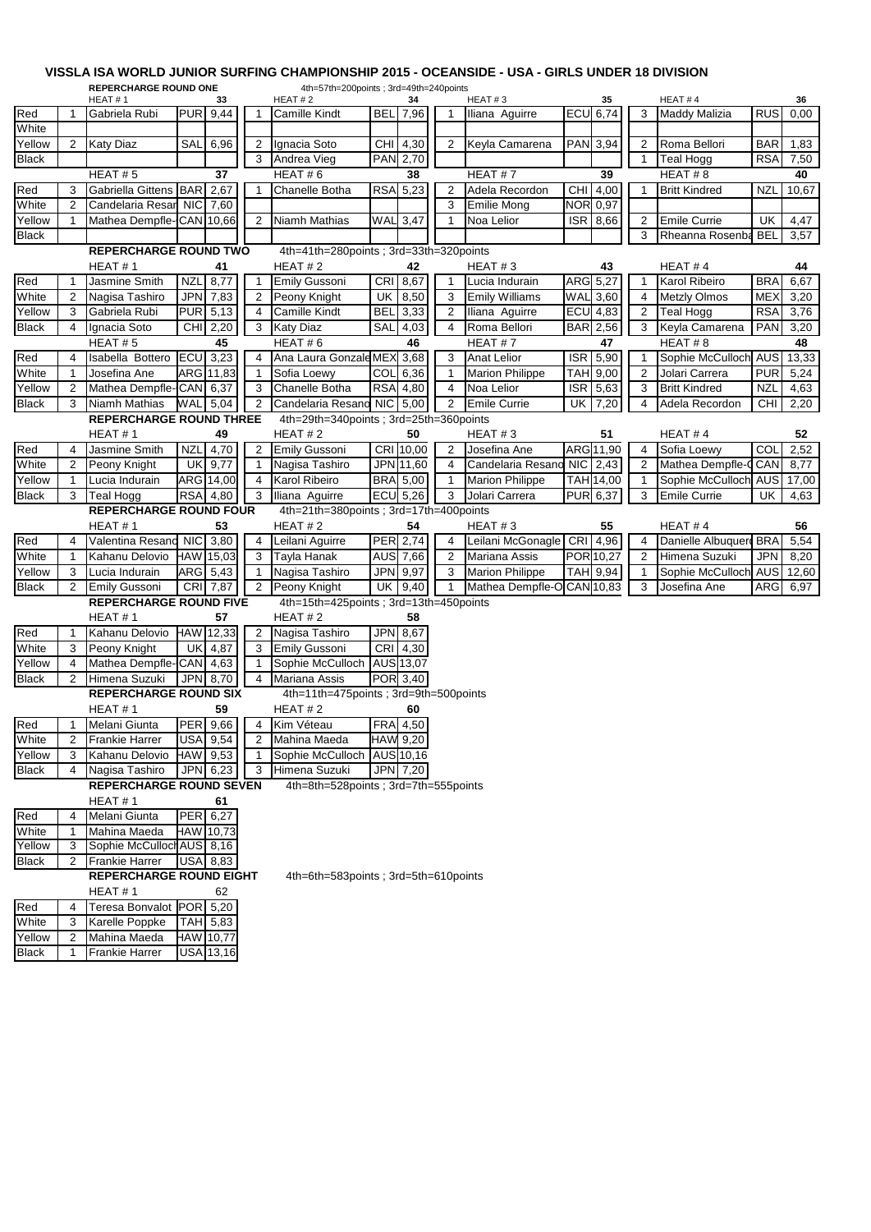## **VISSLA ISA WORLD JUNIOR SURFING CHAMPIONSHIP 2015 - OCEANSIDE - USA - GIRLS UNDER 18 DIVISION**

| <b>REPERCHARGE ROUND ONE</b><br>4th=57th=200points; 3rd=49th=240points |                |                                                    |            |                 |        |                                        |            |                  |                |                        |            |                 |                |                            |            |            |
|------------------------------------------------------------------------|----------------|----------------------------------------------------|------------|-----------------|--------|----------------------------------------|------------|------------------|----------------|------------------------|------------|-----------------|----------------|----------------------------|------------|------------|
|                                                                        |                | HEAT#1                                             |            | 33              |        | HEAT#2                                 |            | 34               |                | HEAT#3                 |            | 35              |                | HEAT#4                     |            | 36         |
| Red<br>White                                                           | -1             | Gabriela Rubi                                      |            | <b>PUR</b> 9,44 | 1      | <b>Camille Kindt</b>                   | <b>BEL</b> | 7,96             | 1              | Iliana Aguirre         |            | <b>ECU 6,74</b> | 3              | <b>Maddy Malizia</b>       | <b>RUS</b> | 0,00       |
| Yellow                                                                 |                |                                                    |            |                 |        | Ignacia Soto                           |            |                  |                | Keyla Camarena         |            |                 |                | Roma Bellori               |            |            |
|                                                                        | $\overline{2}$ | <b>Katy Diaz</b>                                   | SAL        | 6,96            | 2<br>3 |                                        | CHI        | 4,30<br>PAN 2,70 | 2              |                        |            | PAN 3,94        | 2<br>1         |                            | BAR<br>RSA | 1,83       |
| <b>Black</b>                                                           |                | HEAT#5                                             |            | 37              |        | Andrea Vieg<br>HEAT#6                  |            | 38               |                | HEAT#7                 |            | 39              |                | <b>Teal Hogg</b><br>HEAT#8 |            | 7,50<br>40 |
| Red                                                                    | 3              | Gabriella Gittens BAR                              |            | 2,67            |        | Chanelle Botha                         |            | <b>RSA 5,23</b>  | $\overline{2}$ | Adela Recordon         | <b>CHI</b> | 4,00            | 1              | <b>Britt Kindred</b>       | nzl        | 10,67      |
| White                                                                  | $\overline{2}$ | Candelaria Resar NIC                               |            | 7,60            |        |                                        |            |                  | 3              | <b>Emilie Mong</b>     | <b>NOR</b> | 0,97            |                |                            |            |            |
| Yellow                                                                 | -1             | Mathea Dempfle-CAN 10,66                           |            |                 | 2      | Niamh Mathias                          | WAL        | 3,47             | $\mathbf 1$    | Noa Lelior             | <b>ISR</b> | 8,66            | $\overline{2}$ | <b>Emile Currie</b>        | UK         | 4,47       |
| <b>Black</b>                                                           |                |                                                    |            |                 |        |                                        |            |                  |                |                        |            |                 | 3              | Rheanna Rosenba            | <b>BEL</b> | 3,57       |
|                                                                        |                | <b>REPERCHARGE ROUND TWO</b>                       |            |                 |        | 4th=41th=280points; 3rd=33th=320points |            |                  |                |                        |            |                 |                |                            |            |            |
|                                                                        |                | HEAT#1                                             |            | 41              |        | HEAT#2                                 |            | 42               |                | HEAT#3                 |            | 43              |                | HEAT#4                     |            | 44         |
| Red                                                                    | -1             | Jasmine Smith                                      | <b>NZL</b> | 8,77            | 1      | Emily Gussoni                          | <b>CRI</b> | 8,67             | $\overline{1}$ | Lucia Indurain         |            | ARG 5,27        | $\mathbf{1}$   | Karol Ribeiro              | <b>BRA</b> | 6,67       |
| White                                                                  | 2              | Nagisa Tashiro                                     | <b>JPN</b> | 7,83            | 2      | Peony Knight                           | UK         | 8,50             | 3              | <b>Emily Williams</b>  |            | <b>WAL 3,60</b> | 4              | <b>Metzly Olmos</b>        | <b>MEX</b> | 3,20       |
| Yellow                                                                 | 3              | Gabriela Rubi                                      | <b>PUR</b> | 5,13            | 4      | <b>Camille Kindt</b>                   | <b>BEL</b> | 3,33             | 2              | Iliana Aguirre         |            | <b>ECU</b> 4,83 | $\overline{2}$ | <b>Teal Hogg</b>           | <b>RSA</b> | 3,76       |
| <b>Black</b>                                                           | 4              | Ignacia Soto                                       | <b>CHI</b> | 2,20            | 3      | <b>Katy Diaz</b>                       | SAL        | 4,03             | 4              | Roma Bellori           | <b>BAR</b> | 2,56            | 3              | Keyla Camarena             | <b>PAN</b> | 3,20       |
|                                                                        |                | HEAT#5                                             |            | 45              |        | HEAT#6                                 |            | 46               |                | HEAT#7                 |            | 47              |                | HEAT#8                     |            | 48         |
| Red                                                                    | 4              | Isabella Bottero                                   | ECU        | 3,23            | 4      | Ana Laura Gonzale MEX                  |            | 3,68             | 3              | <b>Anat Lelior</b>     | <b>ISR</b> | 5,90            | 1              | Sophie McCulloch AUS       |            | 13,33      |
| White                                                                  | 1              | Josefina Ane                                       |            | ARG 11,83       |        | Sofia Loewy                            | COL        | 6,36             | $\mathbf 1$    | <b>Marion Philippe</b> | TAH        | 9,00            | $\overline{2}$ | Jolari Carrera             | <b>PUR</b> | 5,24       |
| Yellow                                                                 | 2              | Mathea Dempfle-CAN 6,37                            |            |                 | 3      | Chanelle Botha                         |            | RSA 4,80         | 4              | Noa Lelior             | <b>ISR</b> | 5,63            | 3              | <b>Britt Kindred</b>       | <b>NZL</b> | 4,63       |
| <b>Black</b>                                                           | 3              | Niamh Mathias                                      | WAL        | $-5,04$         | 2      | Candelaria Resano NIC                  |            | 5,00             | 2              | <b>Emile Currie</b>    | UK         | 7,20            | 4              | Adela Recordon             | CHI        | 2,20       |
|                                                                        |                | <b>REPERCHARGE ROUND THREE</b>                     |            |                 |        | 4th=29th=340points; 3rd=25th=360points |            |                  |                |                        |            |                 |                |                            |            |            |
|                                                                        |                | HEAT#1                                             |            | 49              |        | HEAT#2                                 |            | 50               |                | HEAT#3                 |            | 51              |                | HEAT#4                     |            | 52         |
| Red                                                                    | 4              | Jasmine Smith                                      | <b>NZL</b> | 4,70            | 2      | <b>Emily Gussoni</b>                   |            | CRI 10,00        | $\overline{2}$ | Josefina Ane           |            | ARG 11,90       | 4              | Sofia Loewy                | COL        | 2,52       |
| White                                                                  | $\overline{2}$ | Peony Knight                                       | <b>UK</b>  | 9,77            | 1      | Nagisa Tashiro                         |            | JPN 11,60        | 4              | Candelaria Resano      | <b>NIC</b> | 2,43            | $\overline{2}$ | Mathea Dempfle-C           | CAN        | 8,77       |
| Yellow                                                                 | $\mathbf 1$    | Lucia Indurain                                     |            | ARG 14,00       | 4      | Karol Ribeiro                          |            | <b>BRA</b> 5,00  | $\mathbf{1}$   | <b>Marion Philippe</b> |            | TAH 14,00       | $\mathbf{1}$   | Sophie McCulloch AUS       |            | 17,00      |
| <b>Black</b>                                                           | 3              | <b>Teal Hogg</b>                                   | <b>RSA</b> | 4,80            | 3      | Iliana Aguirre                         |            | $ECU$ 5,26       | 3              | Jolari Carrera         |            | PUR 6,37        | 3              | <b>Emile Currie</b>        | UK         | 4,63       |
|                                                                        |                | <b>REPERCHARGE ROUND FOUR</b>                      |            |                 |        | 4th=21th=380points; 3rd=17th=400points |            |                  |                |                        |            |                 |                |                            |            |            |
|                                                                        |                | HEAT#1                                             |            | 53              |        | HEAT#2                                 |            | 54               |                | HEAT#3                 |            | 55              |                | HEAT#4                     |            | 56         |
| Red                                                                    | 4              | Valentina Resand NIC                               |            | 3,80            | 4      | Leilani Aguirre                        |            | PER 2,74         | $\overline{4}$ | Leilani McGonagle      | CRI        | 4,96            | 4              | Danielle Albuquerd BRA     |            | 5,54       |
| White                                                                  | $\mathbf 1$    | Kahanu Delovio                                     |            | HAW 15,03       | 3      | Tayla Hanak                            |            | AUS 7,66         | 2              | <b>Mariana Assis</b>   |            | POR 10,27       | 2              | Himena Suzuki              | JPN        | 8,20       |
| Yellow                                                                 | 3              | Lucia Indurain                                     |            | ARG 5,43        | 1      | Nagisa Tashiro                         |            | JPN 9,97         | 3              | <b>Marion Philippe</b> |            | TAH 9,94        | $\mathbf{1}$   | Sophie McCulloch AUS       |            | 12,60      |
| <b>Black</b>                                                           | 2              | <b>Emily Gussoni</b>                               |            | CRI 7,87        | 2      | Peony Knight                           | UK         | 9,40             | $\mathbf{1}$   | Mathea Dempfle-O       |            | CAN 10,83       | 3              | Josefina Ane               | ARG        | 6,97       |
|                                                                        |                | <b>REPERCHARGE ROUND FIVE</b>                      |            |                 |        | 4th=15th=425points; 3rd=13th=450points |            |                  |                |                        |            |                 |                |                            |            |            |
|                                                                        |                | HEAT #1                                            |            | 57              |        | HEAT # 2                               |            | 58               |                |                        |            |                 |                |                            |            |            |
| Red                                                                    | -1             | Kahanu Delovio HAW 12,33                           |            |                 | 2      | Nagisa Tashiro                         |            | JPN 8,67         |                |                        |            |                 |                |                            |            |            |
| White                                                                  | 3              | Peony Knight                                       | <b>UK</b>  | 4,87            | 3      | <b>Emily Gussoni</b>                   | <b>CRI</b> | 4,30             |                |                        |            |                 |                |                            |            |            |
| Yellow                                                                 | 4              | Mathea Dempfle-CAN                                 |            | 4,63            | 1      | Sophie McCulloch                       |            | AUS 13,07        |                |                        |            |                 |                |                            |            |            |
| <b>Black</b>                                                           | 2              | Himena Suzuki                                      | <b>JPN</b> | 8,70            | 4      | Mariana Assis                          |            | POR 3,40         |                |                        |            |                 |                |                            |            |            |
|                                                                        |                | <b>REPERCHARGE ROUND SIX</b>                       |            |                 |        | 4th=11th=475points : 3rd=9th=500points |            |                  |                |                        |            |                 |                |                            |            |            |
|                                                                        |                | HEAT#1                                             |            | 59              |        | HEAT#2                                 |            | 60               |                |                        |            |                 |                |                            |            |            |
| Red                                                                    |                | Melani Giunta                                      |            | PER 9,66        | 4      | Kim Véteau                             |            | FRA 4,50         |                |                        |            |                 |                |                            |            |            |
| White                                                                  | 2              | <b>Frankie Harrer</b>                              |            | USA 9,54        | 2      | Mahina Maeda                           |            | HAW 9,20         |                |                        |            |                 |                |                            |            |            |
| Yellow                                                                 | 3              | Kahanu Delovio                                     |            | HAW 9,53        | 1      | Sophie McCulloch                       |            | AUS 10,16        |                |                        |            |                 |                |                            |            |            |
| <b>Black</b>                                                           | 4              | Nagisa Tashiro                                     | <b>JPN</b> | 6,23            | 3      | Himena Suzuki                          |            | JPN 7,20         |                |                        |            |                 |                |                            |            |            |
|                                                                        |                | <b>REPERCHARGE ROUND SEVEN</b>                     |            |                 |        | 4th=8th=528points; 3rd=7th=555points   |            |                  |                |                        |            |                 |                |                            |            |            |
|                                                                        |                | HEAT#1                                             |            | 61              |        |                                        |            |                  |                |                        |            |                 |                |                            |            |            |
| Red                                                                    | 4              | Melani Giunta                                      |            | PER 6,27        |        |                                        |            |                  |                |                        |            |                 |                |                            |            |            |
| White                                                                  | -1             | Mahina Maeda                                       |            | HAW 10,73       |        |                                        |            |                  |                |                        |            |                 |                |                            |            |            |
| Yellow<br><b>Black</b>                                                 | 3<br>2         | Sophie McCulloch AUS 8,16<br><b>Frankie Harrer</b> |            | <b>USA 8,83</b> |        |                                        |            |                  |                |                        |            |                 |                |                            |            |            |
|                                                                        |                | <b>REPERCHARGE ROUND EIGHT</b>                     |            |                 |        | 4th=6th=583points; 3rd=5th=610points   |            |                  |                |                        |            |                 |                |                            |            |            |
|                                                                        |                | HEAT#1                                             |            | 62              |        |                                        |            |                  |                |                        |            |                 |                |                            |            |            |
| Red                                                                    | 4              | Teresa Bonvalot POR 5,20                           |            |                 |        |                                        |            |                  |                |                        |            |                 |                |                            |            |            |
| White                                                                  | 3              | Karelle Poppke                                     |            | TAH 5,83        |        |                                        |            |                  |                |                        |            |                 |                |                            |            |            |
| Yellow                                                                 | 2              | Mahina Maeda                                       |            | HAW 10,77       |        |                                        |            |                  |                |                        |            |                 |                |                            |            |            |
| <b>Black</b>                                                           | $\mathbf{1}$   | <b>Frankie Harrer</b>                              |            | USA 13,16       |        |                                        |            |                  |                |                        |            |                 |                |                            |            |            |
|                                                                        |                |                                                    |            |                 |        |                                        |            |                  |                |                        |            |                 |                |                            |            |            |